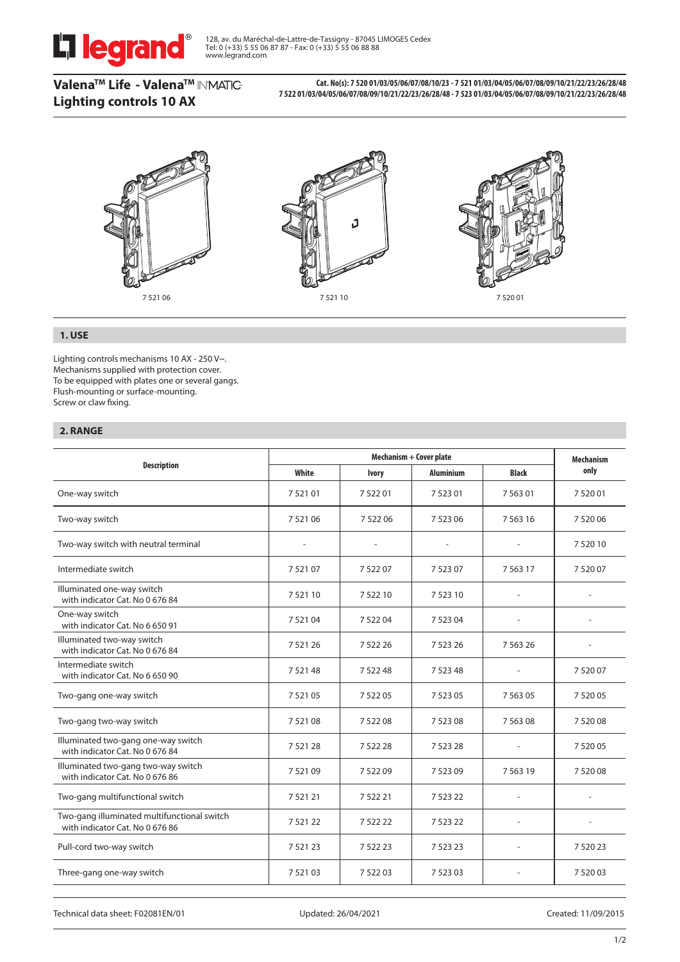

**ValenaTM Life - ValenaTM Lighting controls 10 AX**

**Cat. No(s): 7 520 01/03/05/06/07/08/10/23 - 7 521 01/03/04/05/06/07/08/09/10/21/22/23/26/28/48 7 522 01/03/04/05/06/07/08/09/10/21/22/23/26/28/48 - 7 523 01/03/04/05/06/07/08/09/10/21/22/23/26/28/48**



# **1. USE**

Lighting controls mechanisms 10 AX - 250 V~. Mechanisms supplied with protection cover. To be equipped with plates one or several gangs. Flush-mounting or surface-mounting. Screw or claw fixing.

# **2. RANGE**

| <b>Description</b>                                                             |                          | <b>Mechanism</b> |                  |                          |             |
|--------------------------------------------------------------------------------|--------------------------|------------------|------------------|--------------------------|-------------|
|                                                                                | White                    | <b>Ivory</b>     | <b>Aluminium</b> | <b>Black</b>             | only        |
| One-way switch                                                                 | 752101                   | 752201           | 752301           | 756301                   | 752001      |
| Two-way switch                                                                 | 7 5 2 1 0 6              | 7 5 2 2 0 6      | 7 5 2 3 0 6      | 7 5 6 3 1 6              | 7 5 2 0 0 6 |
| Two-way switch with neutral terminal                                           | $\overline{\phantom{a}}$ |                  |                  | $\overline{\phantom{a}}$ | 7 5 20 10   |
| Intermediate switch                                                            | 752107                   | 752207           | 7 5 2 3 0 7      | 7 5 6 3 1 7              | 752007      |
| Illuminated one-way switch<br>with indicator Cat. No 0 676 84                  | 752110                   | 7 5 2 2 1 0      | 7 5 2 3 1 0      | $\overline{a}$           |             |
| One-way switch<br>with indicator Cat. No 6 650 91                              | 7 5 2 1 0 4              | 7 5 2 2 0 4      | 7 5 2 3 0 4      |                          |             |
| Illuminated two-way switch<br>with indicator Cat. No 0 676 84                  | 7 5 2 1 2 6              | 7 5 2 2 2 6      | 7 5 2 3 2 6      | 7 5 6 3 2 6              |             |
| Intermediate switch<br>with indicator Cat. No 6 650 90                         | 7 5 21 48                | 7 5 2 2 4 8      | 7 5 2 3 4 8      |                          | 752007      |
| Two-gang one-way switch                                                        | 7 5 2 1 0 5              | 7 5 2 2 0 5      | 7 5 2 3 0 5      | 7 5 6 3 0 5              | 7 5 2 0 0 5 |
| Two-gang two-way switch                                                        | 752108                   | 7 5 2 2 0 8      | 752308           | 7 5 6 3 0 8              | 7 5 2 0 0 8 |
| Illuminated two-gang one-way switch<br>with indicator Cat. No 0 676 84         | 752128                   | 7 5 2 2 2 8      | 7 5 2 3 2 8      |                          | 7 5 2 0 0 5 |
| Illuminated two-gang two-way switch<br>with indicator Cat. No 0 676 86         | 752109                   | 7 5 2 2 0 9      | 752309           | 7 5 6 3 1 9              | 7 5 20 08   |
| Two-gang multifunctional switch                                                | 752121                   | 7 5 2 2 2 1      | 7 5 2 3 2 2      | ٠                        |             |
| Two-gang illuminated multifunctional switch<br>with indicator Cat. No 0 676 86 | 752122                   | 7 5 2 2 2 2 2    | 7 5 2 3 2 2      | L,                       |             |
| Pull-cord two-way switch                                                       | 7 5 2 1 2 3              | 7 5 2 2 2 3      | 7 5 2 3 2 3      |                          | 7 5 20 23   |
| Three-gang one-way switch                                                      | 752103                   | 7 5 2 2 0 3      | 7 5 2 3 0 3      |                          | 752003      |